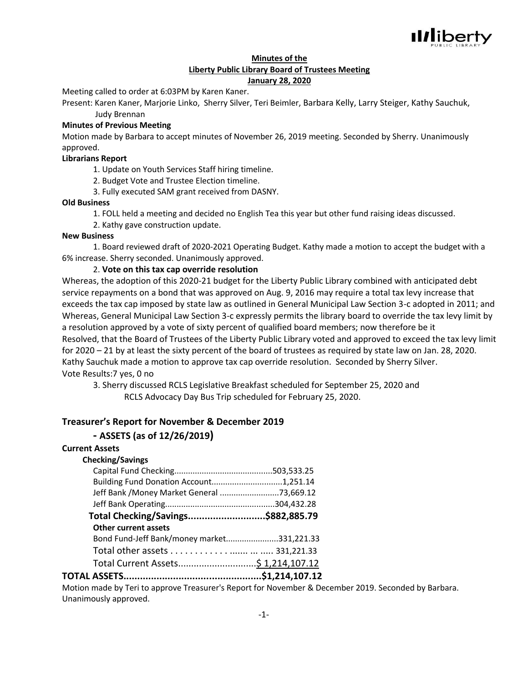

### **Minutes of the Liberty Public Library Board of Trustees Meeting January 28, 2020**

Meeting called to order at 6:03PM by Karen Kaner.

Present: Karen Kaner, Marjorie Linko, Sherry Silver, Teri Beimler, Barbara Kelly, Larry Steiger, Kathy Sauchuk, Judy Brennan

### **Minutes of Previous Meeting**

Motion made by Barbara to accept minutes of November 26, 2019 meeting. Seconded by Sherry. Unanimously approved.

### **Librarians Report**

1. Update on Youth Services Staff hiring timeline.

2. Budget Vote and Trustee Election timeline.

3. Fully executed SAM grant received from DASNY.

### **Old Business**

1. FOLL held a meeting and decided no English Tea this year but other fund raising ideas discussed.

2. Kathy gave construction update.

#### **New Business**

1. Board reviewed draft of 2020-2021 Operating Budget. Kathy made a motion to accept the budget with a 6% increase. Sherry seconded. Unanimously approved.

### 2. **Vote on this tax cap override resolution**

Whereas, the adoption of this 2020-21 budget for the Liberty Public Library combined with anticipated debt service repayments on a bond that was approved on Aug. 9, 2016 may require a total tax levy increase that exceeds the tax cap imposed by state law as outlined in General Municipal Law Section 3-c adopted in 2011; and Whereas, General Municipal Law Section 3-c expressly permits the library board to override the tax levy limit by a resolution approved by a vote of sixty percent of qualified board members; now therefore be it Resolved, that the Board of Trustees of the Liberty Public Library voted and approved to exceed the tax levy limit for 2020 – 21 by at least the sixty percent of the board of trustees as required by state law on Jan. 28, 2020. Kathy Sauchuk made a motion to approve tax cap override resolution. Seconded by Sherry Silver. Vote Results:7 yes, 0 no

3. Sherry discussed RCLS Legislative Breakfast scheduled for September 25, 2020 and

RCLS Advocacy Day Bus Trip scheduled for February 25, 2020.

# **Treasurer's Report for November & December 2019**

# **- ASSETS (as of 12/26/2019)**

### **Current Assets**

#### **Checking/Savings**

| Building Fund Donation Account1,251.14     |  |
|--------------------------------------------|--|
| Jeff Bank / Money Market General 73,669.12 |  |
|                                            |  |
| Total Checking/Savings\$882,885.79         |  |
| <b>Other current assets</b>                |  |
| Bond Fund-Jeff Bank/money market331,221.33 |  |
|                                            |  |
|                                            |  |
|                                            |  |

**TOTAL ASSETS..................................................\$1,214,107.12**

Motion made by Teri to approve Treasurer's Report for November & December 2019. Seconded by Barbara. Unanimously approved.